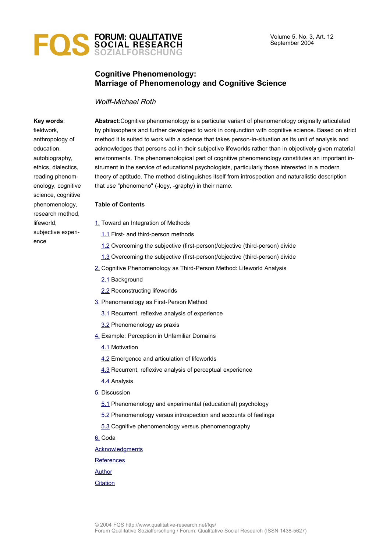

## **Cognitive Phenomenology: Marriage of Phenomenology and Cognitive Science**

#### *Wolff-Michael Roth*

#### **Key words**:

fieldwork, anthropology of education, autobiography, ethics, dialectics, reading phenomenology, cognitive science, cognitive phenomenology, research method, lifeworld, subjective experience

**Abstract**:Cognitive phenomenology is a particular variant of phenomenology originally articulated by philosophers and further developed to work in conjunction with cognitive science. Based on strict method it is suited to work with a science that takes person-in-situation as its unit of analysis and acknowledges that persons act in their subjective lifeworlds rather than in objectively given material environments. The phenomenological part of cognitive phenomenology constitutes an important instrument in the service of educational psychologists, particularly those interested in a modern theory of aptitude. The method distinguishes itself from introspection and naturalistic description that use "phenomeno" (-logy, -graphy) in their name.

#### **Table of Contents**

- [1.](#page-1-0) Toward an Integration of Methods
	- [1.1](#page-1-1) First- and third-person methods
	- [1.2](#page-3-1) Overcoming the subjective (first-person)/objective (third-person) divide
	- [1.3](#page-3-0) Overcoming the subjective (first-person)/objective (third-person) divide
- [2.](#page-4-1) Cognitive Phenomenology as Third-Person Method: Lifeworld Analysis
	- [2.1](#page-4-0) Background
	- [2.2](#page-5-0) Reconstructing lifeworlds
- [3.](#page-6-1) Phenomenology as First-Person Method
	- [3.1](#page-6-0) Recurrent, reflexive analysis of experience
	- [3.2](#page-7-0) Phenomenology as praxis
- [4.](#page-9-1) Example: Perception in Unfamiliar Domains
	- [4.1](#page-9-0) Motivation
	- [4.2](#page-10-0) Emergence and articulation of lifeworlds
	- [4.3](#page-11-0) Recurrent, reflexive analysis of perceptual experience
	- [4.4](#page-12-0) Analysis
- [5.](#page-13-1) Discussion
	- [5.1](#page-13-0) Phenomenology and experimental (educational) psychology
	- [5.2](#page-14-0) Phenomenology versus introspection and accounts of feelings
	- [5.3](#page-15-0) Cognitive phenomenology versus phenomenography
- [6.](#page-16-0) Coda

**[Acknowledgments](#page-17-1)** 

**[References](#page-17-0)** 

[Author](#page-19-0)

#### **[Citation](#page-20-0)**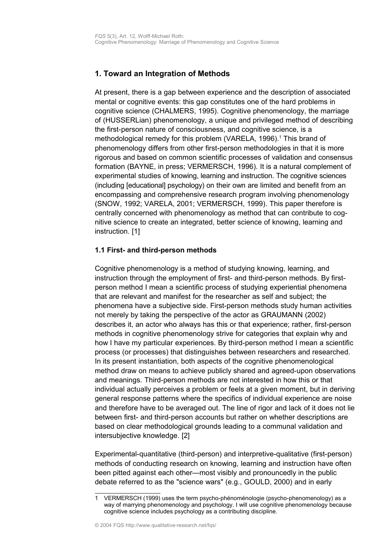# <span id="page-1-0"></span>**1. Toward an Integration of Methods**

At present, there is a gap between experience and the description of associated mental or cognitive events: this gap constitutes one of the hard problems in cognitive science (CHALMERS, 1995). Cognitive phenomenology, the marriage of (HUSSERLian) phenomenology, a unique and privileged method of describing the first-person nature of consciousness, and cognitive science, is a methodological remedy for this problem (VARELA, [1](#page-1-2)996).<sup>1</sup> This brand of phenomenology differs from other first-person methodologies in that it is more rigorous and based on common scientific processes of validation and consensus formation (BAYNE, in press; VERMERSCH, 1996). It is a natural complement of experimental studies of knowing, learning and instruction. The cognitive sciences (including [educational] psychology) on their own are limited and benefit from an encompassing and comprehensive research program involving phenomenology (SNOW, 1992; VARELA, 2001; VERMERSCH, 1999). This paper therefore is centrally concerned with phenomenology as method that can contribute to cognitive science to create an integrated, better science of knowing, learning and instruction. [1]

## <span id="page-1-1"></span>**1.1 First- and third-person methods**

Cognitive phenomenology is a method of studying knowing, learning, and instruction through the employment of first- and third-person methods. By firstperson method I mean a scientific process of studying experiential phenomena that are relevant and manifest for the researcher as self and subject; the phenomena have a subjective side. First-person methods study human activities not merely by taking the perspective of the actor as GRAUMANN (2002) describes it, an actor who always has this or that experience; rather, first-person methods in cognitive phenomenology strive for categories that explain why and how I have my particular experiences. By third-person method I mean a scientific process (or processes) that distinguishes between researchers and researched. In its present instantiation, both aspects of the cognitive phenomenological method draw on means to achieve publicly shared and agreed-upon observations and meanings. Third-person methods are not interested in how this or that individual actually perceives a problem or feels at a given moment, but in deriving general response patterns where the specifics of individual experience are noise and therefore have to be averaged out. The line of rigor and lack of it does not lie between first- and third-person accounts but rather on whether descriptions are based on clear methodological grounds leading to a communal validation and intersubjective knowledge. [2]

Experimental-quantitative (third-person) and interpretive-qualitative (first-person) methods of conducting research on knowing, learning and instruction have often been pitted against each other—most visibly and pronouncedly in the public debate referred to as the "science wars" (e.g., GOULD, 2000) and in early

<span id="page-1-2"></span><sup>1</sup> VERMERSCH (1999) uses the term psycho-phénoménologie (psycho-phenomenology) as a way of marrying phenomenology and psychology. I will use cognitive phenomenology because cognitive science includes psychology as a contributing discipline.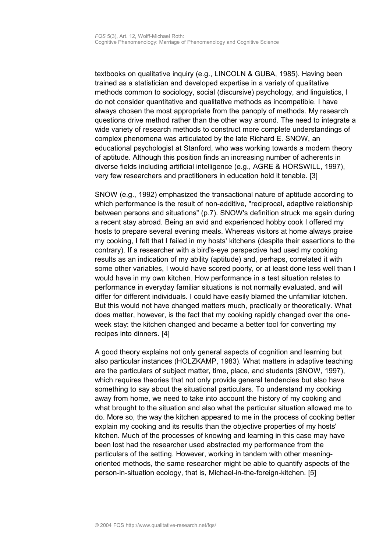textbooks on qualitative inquiry (e.g., LINCOLN & GUBA, 1985). Having been trained as a statistician and developed expertise in a variety of qualitative methods common to sociology, social (discursive) psychology, and linguistics, I do not consider quantitative and qualitative methods as incompatible. I have always chosen the most appropriate from the panoply of methods. My research questions drive method rather than the other way around. The need to integrate a wide variety of research methods to construct more complete understandings of complex phenomena was articulated by the late Richard E. SNOW, an educational psychologist at Stanford, who was working towards a modern theory of aptitude. Although this position finds an increasing number of adherents in diverse fields including artificial intelligence (e.g., AGRE & HORSWILL, 1997), very few researchers and practitioners in education hold it tenable. [3]

SNOW (e.g., 1992) emphasized the transactional nature of aptitude according to which performance is the result of non-additive, "reciprocal, adaptive relationship between persons and situations" (p.7). SNOW's definition struck me again during a recent stay abroad. Being an avid and experienced hobby cook I offered my hosts to prepare several evening meals. Whereas visitors at home always praise my cooking, I felt that I failed in my hosts' kitchens (despite their assertions to the contrary). If a researcher with a bird's-eye perspective had used my cooking results as an indication of my ability (aptitude) and, perhaps, correlated it with some other variables, I would have scored poorly, or at least done less well than I would have in my own kitchen. How performance in a test situation relates to performance in everyday familiar situations is not normally evaluated, and will differ for different individuals. I could have easily blamed the unfamiliar kitchen. But this would not have changed matters much, practically or theoretically. What does matter, however, is the fact that my cooking rapidly changed over the oneweek stay: the kitchen changed and became a better tool for converting my recipes into dinners. [4]

A good theory explains not only general aspects of cognition and learning but also particular instances (HOLZKAMP, 1983). What matters in adaptive teaching are the particulars of subject matter, time, place, and students (SNOW, 1997), which requires theories that not only provide general tendencies but also have something to say about the situational particulars. To understand my cooking away from home, we need to take into account the history of my cooking and what brought to the situation and also what the particular situation allowed me to do. More so, the way the kitchen appeared to me in the process of cooking better explain my cooking and its results than the objective properties of my hosts' kitchen. Much of the processes of knowing and learning in this case may have been lost had the researcher used abstracted my performance from the particulars of the setting. However, working in tandem with other meaningoriented methods, the same researcher might be able to quantify aspects of the person-in-situation ecology, that is, Michael-in-the-foreign-kitchen. [5]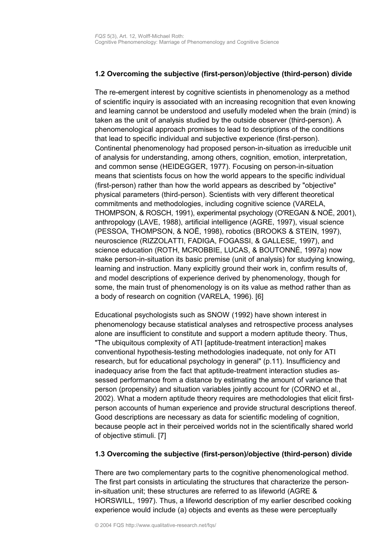## <span id="page-3-1"></span>**1.2 Overcoming the subjective (first-person)/objective (third-person) divide**

The re-emergent interest by cognitive scientists in phenomenology as a method of scientific inquiry is associated with an increasing recognition that even knowing and learning cannot be understood and usefully modeled when the brain (mind) is taken as the unit of analysis studied by the outside observer (third-person). A phenomenological approach promises to lead to descriptions of the conditions that lead to specific individual and subjective experience (first-person). Continental phenomenology had proposed person-in-situation as irreducible unit of analysis for understanding, among others, cognition, emotion, interpretation, and common sense (HEIDEGGER, 1977). Focusing on person-in-situation means that scientists focus on how the world appears to the specific individual (first-person) rather than how the world appears as described by "objective" physical parameters (third-person). Scientists with very different theoretical commitments and methodologies, including cognitive science (VARELA, THOMPSON, & ROSCH, 1991), experimental psychology (O'REGAN & NOË, 2001), anthropology (LAVE, 1988), artificial intelligence (AGRE, 1997), visual science (PESSOA, THOMPSON, & NOË, 1998), robotics (BROOKS & STEIN, 1997), neuroscience (RIZZOLATTI, FADIGA, FOGASSI, & GALLESE, 1997), and science education (ROTH, MCROBBIE, LUCAS, & BOUTONNÉ, 1997a) now make person-in-situation its basic premise (unit of analysis) for studying knowing, learning and instruction. Many explicitly ground their work in, confirm results of, and model descriptions of experience derived by phenomenology, though for some, the main trust of phenomenology is on its value as method rather than as a body of research on cognition (VARELA, 1996). [6]

Educational psychologists such as SNOW (1992) have shown interest in phenomenology because statistical analyses and retrospective process analyses alone are insufficient to constitute and support a modern aptitude theory. Thus, "The ubiquitous complexity of ATI [aptitude-treatment interaction] makes conventional hypothesis-testing methodologies inadequate, not only for ATI research, but for educational psychology in general" (p.11). Insufficiency and inadequacy arise from the fact that aptitude-treatment interaction studies assessed performance from a distance by estimating the amount of variance that person (propensity) and situation variables jointly account for (CORNO et al., 2002). What a modern aptitude theory requires are methodologies that elicit firstperson accounts of human experience and provide structural descriptions thereof. Good descriptions are necessary as data for scientific modeling of cognition, because people act in their perceived worlds not in the scientifically shared world of objective stimuli. [7]

### <span id="page-3-0"></span>**1.3 Overcoming the subjective (first-person)/objective (third-person) divide**

There are two complementary parts to the cognitive phenomenological method. The first part consists in articulating the structures that characterize the personin-situation unit; these structures are referred to as lifeworld (AGRE & HORSWILL, 1997). Thus, a lifeworld description of my earlier described cooking experience would include (a) objects and events as these were perceptually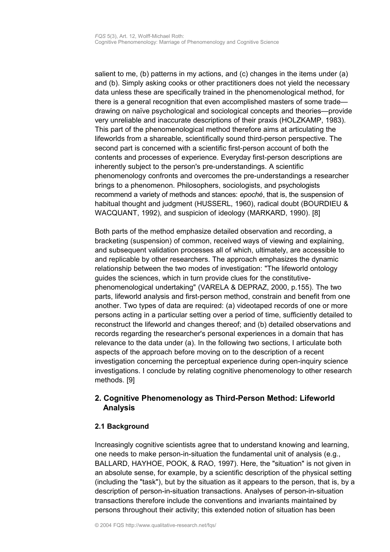salient to me, (b) patterns in my actions, and (c) changes in the items under (a) and (b). Simply asking cooks or other practitioners does not yield the necessary data unless these are specifically trained in the phenomenological method, for there is a general recognition that even accomplished masters of some trade drawing on naïve psychological and sociological concepts and theories—provide very unreliable and inaccurate descriptions of their praxis (HOLZKAMP, 1983). This part of the phenomenological method therefore aims at articulating the lifeworlds from a shareable, scientifically sound third-person perspective. The second part is concerned with a scientific first-person account of both the contents and processes of experience. Everyday first-person descriptions are inherently subject to the person's pre-understandings. A scientific phenomenology confronts and overcomes the pre-understandings a researcher brings to a phenomenon. Philosophers, sociologists, and psychologists recommend a variety of methods and stances: *epoché*, that is, the suspension of habitual thought and judgment (HUSSERL, 1960), radical doubt (BOURDIEU & WACQUANT, 1992), and suspicion of ideology (MARKARD, 1990). [8]

Both parts of the method emphasize detailed observation and recording, a bracketing (suspension) of common, received ways of viewing and explaining, and subsequent validation processes all of which, ultimately, are accessible to and replicable by other researchers. The approach emphasizes the dynamic relationship between the two modes of investigation: "The lifeworld ontology guides the sciences, which in turn provide clues for the constitutivephenomenological undertaking" (VARELA & DEPRAZ, 2000, p.155). The two parts, lifeworld analysis and first-person method, constrain and benefit from one another. Two types of data are required: (a) videotaped records of one or more persons acting in a particular setting over a period of time, sufficiently detailed to reconstruct the lifeworld and changes thereof; and (b) detailed observations and records regarding the researcher's personal experiences in a domain that has relevance to the data under (a). In the following two sections, I articulate both aspects of the approach before moving on to the description of a recent investigation concerning the perceptual experience during open-inquiry science investigations. I conclude by relating cognitive phenomenology to other research methods. [9]

## <span id="page-4-1"></span>**2. Cognitive Phenomenology as Third-Person Method: Lifeworld Analysis**

## <span id="page-4-0"></span>**2.1 Background**

Increasingly cognitive scientists agree that to understand knowing and learning, one needs to make person-in-situation the fundamental unit of analysis (e.g., BALLARD, HAYHOE, POOK, & RAO, 1997). Here, the "situation" is not given in an absolute sense, for example, by a scientific description of the physical setting (including the "task"), but by the situation as it appears to the person, that is, by a description of person-in-situation transactions. Analyses of person-in-situation transactions therefore include the conventions and invariants maintained by persons throughout their activity; this extended notion of situation has been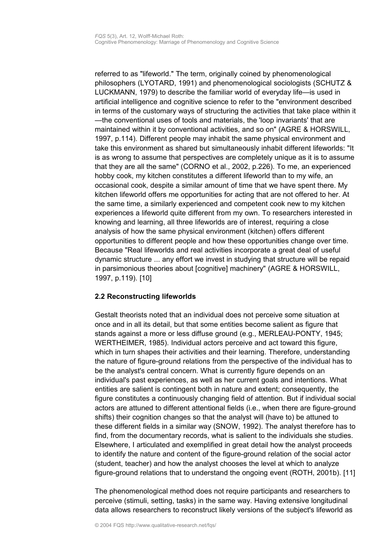referred to as "lifeworld." The term, originally coined by phenomenological philosophers (LYOTARD, 1991) and phenomenological sociologists (SCHUTZ & LUCKMANN, 1979) to describe the familiar world of everyday life—is used in artificial intelligence and cognitive science to refer to the "environment described in terms of the customary ways of structuring the activities that take place within it —the conventional uses of tools and materials, the 'loop invariants' that are maintained within it by conventional activities, and so on" (AGRE & HORSWILL, 1997, p.114). Different people may inhabit the same physical environment and take this environment as shared but simultaneously inhabit different lifeworlds: "It is as wrong to assume that perspectives are completely unique as it is to assume that they are all the same" (CORNO et al., 2002, p.226). To me, an experienced hobby cook, my kitchen constitutes a different lifeworld than to my wife, an occasional cook, despite a similar amount of time that we have spent there. My kitchen lifeworld offers me opportunities for acting that are not offered to her. At the same time, a similarly experienced and competent cook new to my kitchen experiences a lifeworld quite different from my own. To researchers interested in knowing and learning, all three lifeworlds are of interest, requiring a close analysis of how the same physical environment (kitchen) offers different opportunities to different people and how these opportunities change over time. Because "Real lifeworlds and real activities incorporate a great deal of useful dynamic structure ... any effort we invest in studying that structure will be repaid in parsimonious theories about [cognitive] machinery" (AGRE & HORSWILL, 1997, p.119). [10]

## <span id="page-5-0"></span>**2.2 Reconstructing lifeworlds**

Gestalt theorists noted that an individual does not perceive some situation at once and in all its detail, but that some entities become salient as figure that stands against a more or less diffuse ground (e.g., MERLEAU-PONTY, 1945; WERTHEIMER, 1985). Individual actors perceive and act toward this figure, which in turn shapes their activities and their learning. Therefore, understanding the nature of figure-ground relations from the perspective of the individual has to be the analyst's central concern. What is currently figure depends on an individual's past experiences, as well as her current goals and intentions. What entities are salient is contingent both in nature and extent; consequently, the figure constitutes a continuously changing field of attention. But if individual social actors are attuned to different attentional fields (i.e., when there are figure-ground shifts) their cognition changes so that the analyst will (have to) be attuned to these different fields in a similar way (SNOW, 1992). The analyst therefore has to find, from the documentary records, what is salient to the individuals she studies. Elsewhere, I articulated and exemplified in great detail how the analyst proceeds to identify the nature and content of the figure-ground relation of the social actor (student, teacher) and how the analyst chooses the level at which to analyze figure-ground relations that to understand the ongoing event (ROTH, 2001b). [11]

The phenomenological method does not require participants and researchers to perceive (stimuli, setting, tasks) in the same way. Having extensive longitudinal data allows researchers to reconstruct likely versions of the subject's lifeworld as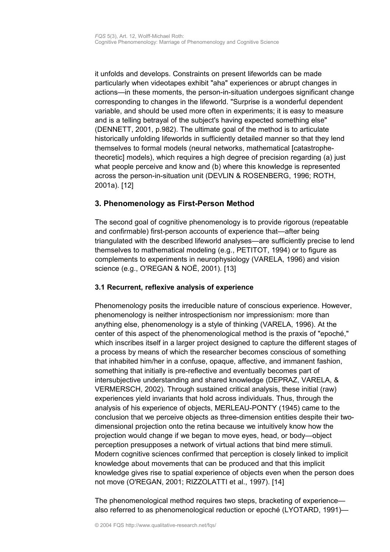it unfolds and develops. Constraints on present lifeworlds can be made particularly when videotapes exhibit "aha" experiences or abrupt changes in actions—in these moments, the person-in-situation undergoes significant change corresponding to changes in the lifeworld. "Surprise is a wonderful dependent variable, and should be used more often in experiments; it is easy to measure and is a telling betrayal of the subject's having expected something else" (DENNETT, 2001, p.982). The ultimate goal of the method is to articulate historically unfolding lifeworlds in sufficiently detailed manner so that they lend themselves to formal models (neural networks, mathematical [catastrophetheoretic] models), which requires a high degree of precision regarding (a) just what people perceive and know and (b) where this knowledge is represented across the person-in-situation unit (DEVLIN & ROSENBERG, 1996; ROTH, 2001a). [12]

## <span id="page-6-1"></span>**3. Phenomenology as First-Person Method**

The second goal of cognitive phenomenology is to provide rigorous (repeatable and confirmable) first-person accounts of experience that—after being triangulated with the described lifeworld analyses—are sufficiently precise to lend themselves to mathematical modeling (e.g., PETITOT, 1994) or to figure as complements to experiments in neurophysiology (VARELA, 1996) and vision science (e.g., O'REGAN & NOË, 2001). [13]

## <span id="page-6-0"></span>**3.1 Recurrent, reflexive analysis of experience**

Phenomenology posits the irreducible nature of conscious experience. However, phenomenology is neither introspectionism nor impressionism: more than anything else, phenomenology is a style of thinking (VARELA, 1996). At the center of this aspect of the phenomenological method is the praxis of "epoché," which inscribes itself in a larger project designed to capture the different stages of a process by means of which the researcher becomes conscious of something that inhabited him/her in a confuse, opaque, affective, and immanent fashion, something that initially is pre-reflective and eventually becomes part of intersubjective understanding and shared knowledge (DEPRAZ, VARELA, & VERMERSCH, 2002). Through sustained critical analysis, these initial (raw) experiences yield invariants that hold across individuals. Thus, through the analysis of his experience of objects, MERLEAU-PONTY (1945) came to the conclusion that we perceive objects as three-dimension entities despite their twodimensional projection onto the retina because we intuitively know how the projection would change if we began to move eyes, head, or body—object perception presupposes a network of virtual actions that bind mere stimuli. Modern cognitive sciences confirmed that perception is closely linked to implicit knowledge about movements that can be produced and that this implicit knowledge gives rise to spatial experience of objects even when the person does not move (O'REGAN, 2001; RIZZOLATTI et al., 1997). [14]

The phenomenological method requires two steps, bracketing of experience also referred to as phenomenological reduction or epoché (LYOTARD, 1991)—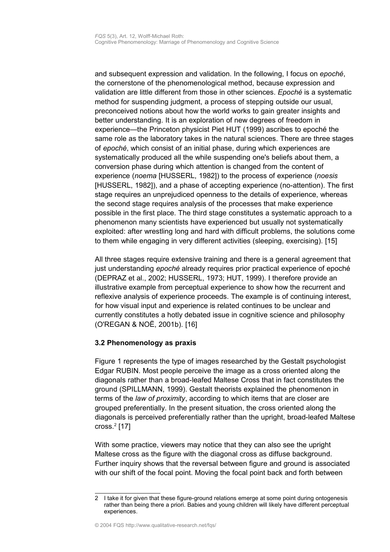and subsequent expression and validation. In the following, I focus on *epoché*, the cornerstone of the phenomenological method, because expression and validation are little different from those in other sciences. *Epoché* is a systematic method for suspending judgment, a process of stepping outside our usual, preconceived notions about how the world works to gain greater insights and better understanding. It is an exploration of new degrees of freedom in experience—the Princeton physicist Piet HUT (1999) ascribes to epoché the same role as the laboratory takes in the natural sciences. There are three stages of *epoché*, which consist of an initial phase, during which experiences are systematically produced all the while suspending one's beliefs about them, a conversion phase during which attention is changed from the content of experience (*noema* [HUSSERL, 1982]) to the process of experience (*noesis* [HUSSERL, 1982]), and a phase of accepting experience (no-attention). The first stage requires an unprejudiced openness to the details of experience, whereas the second stage requires analysis of the processes that make experience possible in the first place. The third stage constitutes a systematic approach to a phenomenon many scientists have experienced but usually not systematically exploited: after wrestling long and hard with difficult problems, the solutions come to them while engaging in very different activities (sleeping, exercising). [15]

All three stages require extensive training and there is a general agreement that just understanding *epoché* already requires prior practical experience of epoché (DEPRAZ et al., 2002; HUSSERL, 1973; HUT, 1999). I therefore provide an illustrative example from perceptual experience to show how the recurrent and reflexive analysis of experience proceeds. The example is of continuing interest, for how visual input and experience is related continues to be unclear and currently constitutes a hotly debated issue in cognitive science and philosophy (O'REGAN & NOË, 2001b). [16]

### <span id="page-7-0"></span>**3.2 Phenomenology as praxis**

Figure 1 represents the type of images researched by the Gestalt psychologist Edgar RUBIN. Most people perceive the image as a cross oriented along the diagonals rather than a broad-leafed Maltese Cross that in fact constitutes the ground (SPILLMANN, 1999). Gestalt theorists explained the phenomenon in terms of the *law of proximity*, according to which items that are closer are grouped preferentially. In the present situation, the cross oriented along the diagonals is perceived preferentially rather than the upright, broad-leafed Maltese cross.[2](#page-7-1) [17]

With some practice, viewers may notice that they can also see the upright Maltese cross as the figure with the diagonal cross as diffuse background. Further inquiry shows that the reversal between figure and ground is associated with our shift of the focal point. Moving the focal point back and forth between

<span id="page-7-1"></span><sup>2</sup> I take it for given that these figure-ground relations emerge at some point during ontogenesis rather than being there a priori. Babies and young children will likely have different perceptual experiences.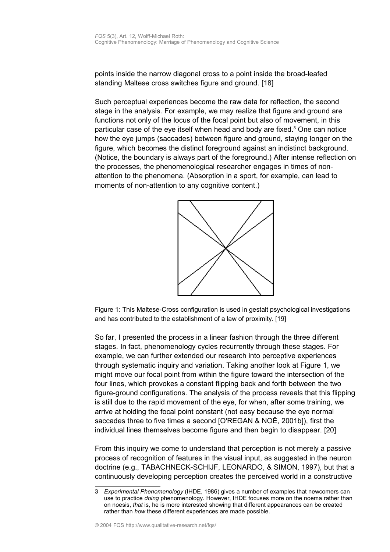points inside the narrow diagonal cross to a point inside the broad-leafed standing Maltese cross switches figure and ground. [18]

Such perceptual experiences become the raw data for reflection, the second stage in the analysis. For example, we may realize that figure and ground are functions not only of the locus of the focal point but also of movement, in this particular case of the eye itself when head and body are fixed. $3$  One can notice how the eye jumps (saccades) between figure and ground, staying longer on the figure, which becomes the distinct foreground against an indistinct background. (Notice, the boundary is always part of the foreground.) After intense reflection on the processes, the phenomenological researcher engages in times of nonattention to the phenomena. (Absorption in a sport, for example, can lead to moments of non-attention to any cognitive content.)



Figure 1: This Maltese-Cross configuration is used in gestalt psychological investigations and has contributed to the establishment of a law of proximity. [19]

So far, I presented the process in a linear fashion through the three different stages. In fact, phenomenology cycles recurrently through these stages. For example, we can further extended our research into perceptive experiences through systematic inquiry and variation. Taking another look at Figure 1, we might move our focal point from within the figure toward the intersection of the four lines, which provokes a constant flipping back and forth between the two figure-ground configurations. The analysis of the process reveals that this flipping is still due to the rapid movement of the eye, for when, after some training, we arrive at holding the focal point constant (not easy because the eye normal saccades three to five times a second [O'REGAN & NOË, 2001b]), first the individual lines themselves become figure and then begin to disappear. [20]

From this inquiry we come to understand that perception is not merely a passive process of recognition of features in the visual input, as suggested in the neuron doctrine (e.g., TABACHNECK-SCHIJF, LEONARDO, & SIMON, 1997), but that a continuously developing perception creates the perceived world in a constructive

<span id="page-8-0"></span><sup>3</sup> *Experimental Phenomenology* (IHDE, 1986) gives a number of examples that newcomers can use to practice *doing* phenomenology. However, IHDE focuses more on the noema rather than on noesis, *that* is, he is more interested showing that different appearances can be created rather than *how* these different experiences are made possible.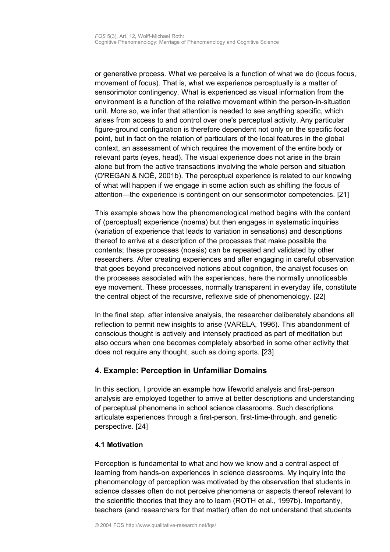or generative process. What we perceive is a function of what we do (locus focus, movement of focus). That is, what we experience perceptually is a matter of sensorimotor contingency. What is experienced as visual information from the environment is a function of the relative movement within the person-in-situation unit. More so, we infer that attention is needed to see anything specific, which arises from access to and control over one's perceptual activity. Any particular figure-ground configuration is therefore dependent not only on the specific focal point, but in fact on the relation of particulars of the local features in the global context, an assessment of which requires the movement of the entire body or relevant parts (eyes, head). The visual experience does not arise in the brain alone but from the active transactions involving the whole person and situation (O'REGAN & NOË, 2001b). The perceptual experience is related to our knowing of what will happen if we engage in some action such as shifting the focus of attention—the experience is contingent on our sensorimotor competencies. [21]

This example shows how the phenomenological method begins with the content of (perceptual) experience (noema) but then engages in systematic inquiries (variation of experience that leads to variation in sensations) and descriptions thereof to arrive at a description of the processes that make possible the contents; these processes (noesis) can be repeated and validated by other researchers. After creating experiences and after engaging in careful observation that goes beyond preconceived notions about cognition, the analyst focuses on the processes associated with the experiences, here the normally unnoticeable eye movement. These processes, normally transparent in everyday life, constitute the central object of the recursive, reflexive side of phenomenology. [22]

In the final step, after intensive analysis, the researcher deliberately abandons all reflection to permit new insights to arise (VARELA, 1996). This abandonment of conscious thought is actively and intensely practiced as part of meditation but also occurs when one becomes completely absorbed in some other activity that does not require any thought, such as doing sports. [23]

## <span id="page-9-1"></span>**4. Example: Perception in Unfamiliar Domains**

In this section, I provide an example how lifeworld analysis and first-person analysis are employed together to arrive at better descriptions and understanding of perceptual phenomena in school science classrooms. Such descriptions articulate experiences through a first-person, first-time-through, and genetic perspective. [24]

### <span id="page-9-0"></span>**4.1 Motivation**

Perception is fundamental to what and how we know and a central aspect of learning from hands-on experiences in science classrooms. My inquiry into the phenomenology of perception was motivated by the observation that students in science classes often do not perceive phenomena or aspects thereof relevant to the scientific theories that they are to learn (ROTH et al., 1997b). Importantly, teachers (and researchers for that matter) often do not understand that students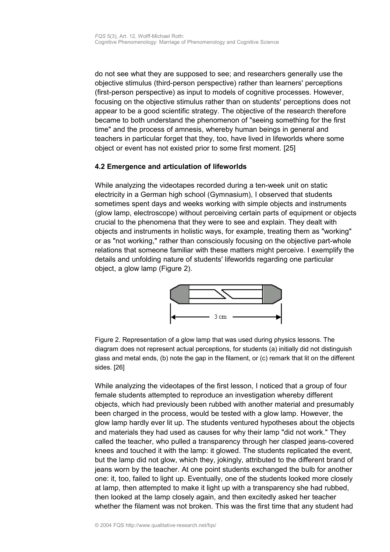do not see what they are supposed to see; and researchers generally use the objective stimulus (third-person perspective) rather than learners' perceptions (first-person perspective) as input to models of cognitive processes. However, focusing on the objective stimulus rather than on students' perceptions does not appear to be a good scientific strategy. The objective of the research therefore became to both understand the phenomenon of "seeing something for the first time" and the process of amnesis, whereby human beings in general and teachers in particular forget that they, too, have lived in lifeworlds where some object or event has not existed prior to some first moment. [25]

### <span id="page-10-0"></span>**4.2 Emergence and articulation of lifeworlds**

While analyzing the videotapes recorded during a ten-week unit on static electricity in a German high school (Gymnasium), I observed that students sometimes spent days and weeks working with simple objects and instruments (glow lamp, electroscope) without perceiving certain parts of equipment or objects crucial to the phenomena that they were to see and explain. They dealt with objects and instruments in holistic ways, for example, treating them as "working" or as "not working," rather than consciously focusing on the objective part-whole relations that someone familiar with these matters might perceive. I exemplify the details and unfolding nature of students' lifeworlds regarding one particular object, a glow lamp (Figure 2).



Figure 2. Representation of a glow lamp that was used during physics lessons. The diagram does not represent actual perceptions, for students (a) initially did not distinguish glass and metal ends, (b) note the gap in the filament, or (c) remark that lit on the different sides. [26]

While analyzing the videotapes of the first lesson, I noticed that a group of four female students attempted to reproduce an investigation whereby different objects, which had previously been rubbed with another material and presumably been charged in the process, would be tested with a glow lamp. However, the glow lamp hardly ever lit up. The students ventured hypotheses about the objects and materials they had used as causes for why their lamp "did not work." They called the teacher, who pulled a transparency through her clasped jeans-covered knees and touched it with the lamp: it glowed. The students replicated the event, but the lamp did not glow, which they, jokingly, attributed to the different brand of jeans worn by the teacher. At one point students exchanged the bulb for another one: it, too, failed to light up. Eventually, one of the students looked more closely at lamp, then attempted to make it light up with a transparency she had rubbed, then looked at the lamp closely again, and then excitedly asked her teacher whether the filament was not broken. This was the first time that any student had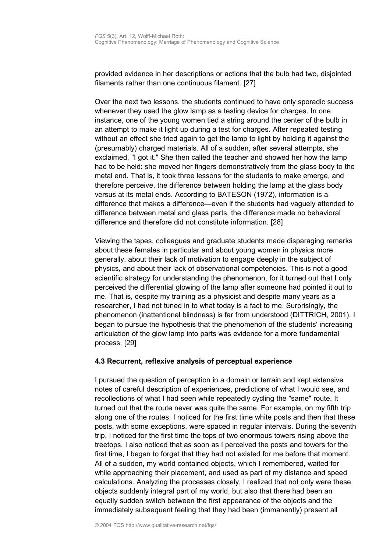provided evidence in her descriptions or actions that the bulb had two, disjointed filaments rather than one continuous filament. [27]

Over the next two lessons, the students continued to have only sporadic success whenever they used the glow lamp as a testing device for charges. In one instance, one of the young women tied a string around the center of the bulb in an attempt to make it light up during a test for charges. After repeated testing without an effect she tried again to get the lamp to light by holding it against the (presumably) charged materials. All of a sudden, after several attempts, she exclaimed, "I got it." She then called the teacher and showed her how the lamp had to be held: she moved her fingers demonstratively from the glass body to the metal end. That is, it took three lessons for the students to make emerge, and therefore perceive, the difference between holding the lamp at the glass body versus at its metal ends. According to BATESON (1972), information is a difference that makes a difference—even if the students had vaguely attended to difference between metal and glass parts, the difference made no behavioral difference and therefore did not constitute information. [28]

Viewing the tapes, colleagues and graduate students made disparaging remarks about these females in particular and about young women in physics more generally, about their lack of motivation to engage deeply in the subject of physics, and about their lack of observational competencies. This is not a good scientific strategy for understanding the phenomenon, for it turned out that I only perceived the differential glowing of the lamp after someone had pointed it out to me. That is, despite my training as a physicist and despite many years as a researcher, I had not tuned in to what today is a fact to me. Surprisingly, the phenomenon (inattentional blindness) is far from understood (DITTRICH, 2001). I began to pursue the hypothesis that the phenomenon of the students' increasing articulation of the glow lamp into parts was evidence for a more fundamental process. [29]

### <span id="page-11-0"></span>**4.3 Recurrent, reflexive analysis of perceptual experience**

I pursued the question of perception in a domain or terrain and kept extensive notes of careful description of experiences, predictions of what I would see, and recollections of what I had seen while repeatedly cycling the "same" route. It turned out that the route never was quite the same. For example, on my fifth trip along one of the routes, I noticed for the first time white posts and then that these posts, with some exceptions, were spaced in regular intervals. During the seventh trip, I noticed for the first time the tops of two enormous towers rising above the treetops. I also noticed that as soon as I perceived the posts and towers for the first time, I began to forget that they had not existed for me before that moment. All of a sudden, my world contained objects, which I remembered, waited for while approaching their placement, and used as part of my distance and speed calculations. Analyzing the processes closely, I realized that not only were these objects suddenly integral part of my world, but also that there had been an equally sudden switch between the first appearance of the objects and the immediately subsequent feeling that they had been (immanently) present all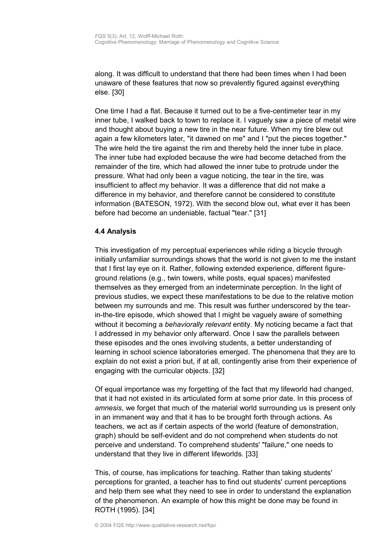along. It was difficult to understand that there had been times when I had been unaware of these features that now so prevalently figured against everything else. [30]

One time I had a flat. Because it turned out to be a five-centimeter tear in my inner tube, I walked back to town to replace it. I vaguely saw a piece of metal wire and thought about buying a new tire in the near future. When my tire blew out again a few kilometers later, "it dawned on me" and I "put the pieces together." The wire held the tire against the rim and thereby held the inner tube in place. The inner tube had exploded because the wire had become detached from the remainder of the tire, which had allowed the inner tube to protrude under the pressure. What had only been a vague noticing, the tear in the tire, was insufficient to affect my behavior. It was a difference that did not make a difference in my behavior, and therefore cannot be considered to constitute information (BATESON, 1972). With the second blow out, what ever it has been before had become an undeniable, factual "tear." [31]

### <span id="page-12-0"></span>**4.4 Analysis**

This investigation of my perceptual experiences while riding a bicycle through initially unfamiliar surroundings shows that the world is not given to me the instant that I first lay eye on it. Rather, following extended experience, different figureground relations (e.g., twin towers, white posts, equal spaces) manifested themselves as they emerged from an indeterminate perception. In the light of previous studies, we expect these manifestations to be due to the relative motion between my surrounds and me. This result was further underscored by the tearin-the-tire episode, which showed that I might be vaguely aware of something without it becoming a *behaviorally relevant* entity. My noticing became a fact that I addressed in my behavior only afterward. Once I saw the parallels between these episodes and the ones involving students, a better understanding of learning in school science laboratories emerged. The phenomena that they are to explain do not exist a priori but, if at all, contingently arise from their experience of engaging with the curricular objects. [32]

Of equal importance was my forgetting of the fact that my lifeworld had changed, that it had not existed in its articulated form at some prior date. In this process of *amnesis*, we forget that much of the material world surrounding us is present only in an immanent way and that it has to be brought forth through actions. As teachers, we act as if certain aspects of the world (feature of demonstration, graph) should be self-evident and do not comprehend when students do not perceive and understand. To comprehend students' "failure," one needs to understand that they live in different lifeworlds. [33]

This, of course, has implications for teaching. Rather than taking students' perceptions for granted, a teacher has to find out students' current perceptions and help them see what they need to see in order to understand the explanation of the phenomenon. An example of how this might be done may be found in ROTH (1995). [34]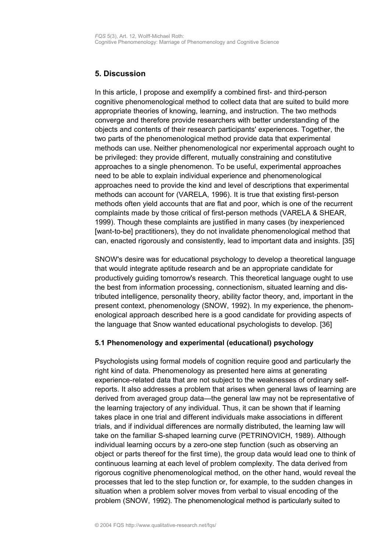# <span id="page-13-1"></span>**5. Discussion**

In this article, I propose and exemplify a combined first- and third-person cognitive phenomenological method to collect data that are suited to build more appropriate theories of knowing, learning, and instruction. The two methods converge and therefore provide researchers with better understanding of the objects and contents of their research participants' experiences. Together, the two parts of the phenomenological method provide data that experimental methods can use. Neither phenomenological nor experimental approach ought to be privileged: they provide different, mutually constraining and constitutive approaches to a single phenomenon. To be useful, experimental approaches need to be able to explain individual experience and phenomenological approaches need to provide the kind and level of descriptions that experimental methods can account for (VARELA, 1996). It is true that existing first-person methods often yield accounts that are flat and poor, which is one of the recurrent complaints made by those critical of first-person methods (VARELA & SHEAR, 1999). Though these complaints are justified in many cases (by inexperienced [want-to-be] practitioners), they do not invalidate phenomenological method that can, enacted rigorously and consistently, lead to important data and insights. [35]

SNOW's desire was for educational psychology to develop a theoretical language that would integrate aptitude research and be an appropriate candidate for productively guiding tomorrow's research. This theoretical language ought to use the best from information processing, connectionism, situated learning and distributed intelligence, personality theory, ability factor theory, and, important in the present context, phenomenology (SNOW, 1992). In my experience, the phenomenological approach described here is a good candidate for providing aspects of the language that Snow wanted educational psychologists to develop. [36]

### <span id="page-13-0"></span>**5.1 Phenomenology and experimental (educational) psychology**

Psychologists using formal models of cognition require good and particularly the right kind of data. Phenomenology as presented here aims at generating experience-related data that are not subject to the weaknesses of ordinary selfreports. It also addresses a problem that arises when general laws of learning are derived from averaged group data—the general law may not be representative of the learning trajectory of any individual. Thus, it can be shown that if learning takes place in one trial and different individuals make associations in different trials, and if individual differences are normally distributed, the learning law will take on the familiar S-shaped learning curve (PETRINOVICH, 1989). Although individual learning occurs by a zero-one step function (such as observing an object or parts thereof for the first time), the group data would lead one to think of continuous learning at each level of problem complexity. The data derived from rigorous cognitive phenomenological method, on the other hand, would reveal the processes that led to the step function or, for example, to the sudden changes in situation when a problem solver moves from verbal to visual encoding of the problem (SNOW, 1992). The phenomenological method is particularly suited to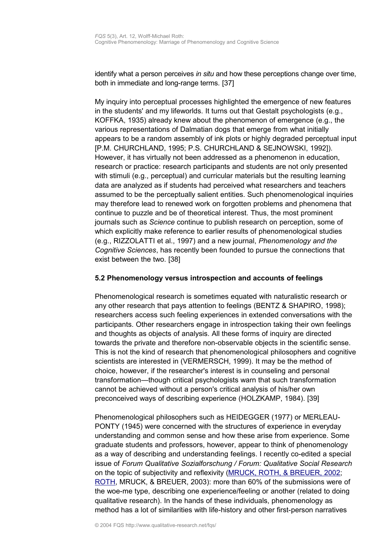identify what a person perceives *in situ* and how these perceptions change over time, both in immediate and long-range terms. [37]

My inquiry into perceptual processes highlighted the emergence of new features in the students' and my lifeworlds. It turns out that Gestalt psychologists (e.g., KOFFKA, 1935) already knew about the phenomenon of emergence (e.g., the various representations of Dalmatian dogs that emerge from what initially appears to be a random assembly of ink plots or highly degraded perceptual input [P.M. CHURCHLAND, 1995; P.S. CHURCHLAND & SEJNOWSKI, 1992]). However, it has virtually not been addressed as a phenomenon in education, research or practice: research participants and students are not only presented with stimuli (e.g., perceptual) and curricular materials but the resulting learning data are analyzed as if students had perceived what researchers and teachers assumed to be the perceptually salient entities. Such phenomenological inquiries may therefore lead to renewed work on forgotten problems and phenomena that continue to puzzle and be of theoretical interest. Thus, the most prominent journals such as *Science* continue to publish research on perception, some of which explicitly make reference to earlier results of phenomenological studies (e.g., RIZZOLATTI et al., 1997) and a new journal, *Phenomenology and the Cognitive Sciences*, has recently been founded to pursue the connections that exist between the two. [38]

### <span id="page-14-0"></span>**5.2 Phenomenology versus introspection and accounts of feelings**

Phenomenological research is sometimes equated with naturalistic research or any other research that pays attention to feelings (BENTZ & SHAPIRO, 1998); researchers access such feeling experiences in extended conversations with the participants. Other researchers engage in introspection taking their own feelings and thoughts as objects of analysis. All these forms of inquiry are directed towards the private and therefore non-observable objects in the scientific sense. This is not the kind of research that phenomenological philosophers and cognitive scientists are interested in (VERMERSCH, 1999). It may be the method of choice, however, if the researcher's interest is in counseling and personal transformation—though critical psychologists warn that such transformation cannot be achieved without a person's critical analysis of his/her own preconceived ways of describing experience (HOLZKAMP, 1984). [39]

Phenomenological philosophers such as HEIDEGGER (1977) or MERLEAU-PONTY (1945) were concerned with the structures of experience in everyday understanding and common sense and how these arise from experience. Some graduate students and professors, however, appear to think of phenomenology as a way of describing and understanding feelings. I recently co-edited a special issue of *Forum Qualitative Sozialforschung / Forum: Qualitative Social Research* on the topic of subjectivity and reflexivity [\(MRUCK, ROTH, & BREUER, 2002;](http://www.qualitative-research.net/fqs/fqs-e/inhalt3-02-e.htm) [ROTH,](http://www.qualitative-research.net/fqs/fqs-e/inhalt2-03-e.htm) MRUCK, & BREUER, 2003): more than 60% of the submissions were of the woe-me type, describing one experience/feeling or another (related to doing qualitative research). In the hands of these individuals, phenomenology as method has a lot of similarities with life-history and other first-person narratives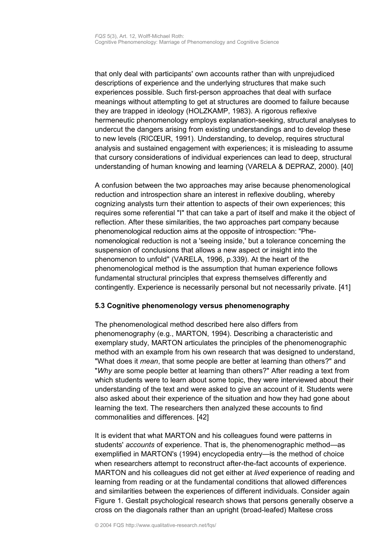that only deal with participants' own accounts rather than with unprejudiced descriptions of experience and the underlying structures that make such experiences possible. Such first-person approaches that deal with surface meanings without attempting to get at structures are doomed to failure because they are trapped in ideology (HOLZKAMP, 1983). A rigorous reflexive hermeneutic phenomenology employs explanation-seeking, structural analyses to undercut the dangers arising from existing understandings and to develop these to new levels (RICŒUR, 1991). Understanding, to develop, requires structural analysis and sustained engagement with experiences; it is misleading to assume that cursory considerations of individual experiences can lead to deep, structural understanding of human knowing and learning (VARELA & DEPRAZ, 2000). [40]

A confusion between the two approaches may arise because phenomenological reduction and introspection share an interest in reflexive doubling, whereby cognizing analysts turn their attention to aspects of their own experiences; this requires some referential "I" that can take a part of itself and make it the object of reflection. After these similarities, the two approaches part company because phenomenological reduction aims at the opposite of introspection: "Phenomenological reduction is not a 'seeing inside,' but a tolerance concerning the suspension of conclusions that allows a new aspect or insight into the phenomenon to unfold" (VARELA, 1996, p.339). At the heart of the phenomenological method is the assumption that human experience follows fundamental structural principles that express themselves differently and contingently. Experience is necessarily personal but not necessarily private. [41]

### <span id="page-15-0"></span>**5.3 Cognitive phenomenology versus phenomenography**

The phenomenological method described here also differs from phenomenography (e.g., MARTON, 1994). Describing a characteristic and exemplary study, MARTON articulates the principles of the phenomenographic method with an example from his own research that was designed to understand, "What does it *mean*, that some people are better at learning than others?" and "*Why* are some people better at learning than others?" After reading a text from which students were to learn about some topic, they were interviewed about their understanding of the text and were asked to give an account of it. Students were also asked about their experience of the situation and how they had gone about learning the text. The researchers then analyzed these accounts to find commonalities and differences. [42]

It is evident that what MARTON and his colleagues found were patterns in students' *accounts* of experience. That is, the phenomenographic method—as exemplified in MARTON's (1994) encyclopedia entry—is the method of choice when researchers attempt to reconstruct after-the-fact accounts of experience. MARTON and his colleagues did not get either at *lived* experience of reading and learning from reading or at the fundamental conditions that allowed differences and similarities between the experiences of different individuals. Consider again Figure 1. Gestalt psychological research shows that persons generally observe a cross on the diagonals rather than an upright (broad-leafed) Maltese cross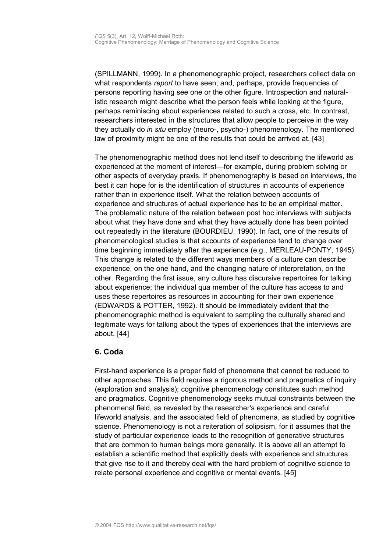(SPILLMANN, 1999). In a phenomenographic project, researchers collect data on what respondents *report* to have seen, and, perhaps, provide frequencies of persons reporting having see one or the other figure. Introspection and naturalistic research might describe what the person feels while looking at the figure, perhaps reminiscing about experiences related to such a cross, etc. In contrast, researchers interested in the structures that allow people to perceive in the way they actually do *in situ* employ (neuro-, psycho-) phenomenology. The mentioned law of proximity might be one of the results that could be arrived at. [43]

The phenomenographic method does not lend itself to describing the lifeworld as experienced at the moment of interest—for example, during problem solving or other aspects of everyday praxis. If phenomenography is based on interviews, the best it can hope for is the identification of structures in accounts of experience rather than in experience itself. What the relation between accounts of experience and structures of actual experience has to be an empirical matter. The problematic nature of the relation between post hoc interviews with subjects about what they have done and what they have actually done has been pointed out repeatedly in the literature (BOURDIEU, 1990). In fact, one of the results of phenomenological studies is that accounts of experience tend to change over time beginning immediately after the experience (e.g., MERLEAU-PONTY, 1945). This change is related to the different ways members of a culture can describe experience, on the one hand, and the changing nature of interpretation, on the other. Regarding the first issue, any culture has discursive repertoires for talking about experience; the individual qua member of the culture has access to and uses these repertoires as resources in accounting for their own experience (EDWARDS & POTTER, 1992). It should be immediately evident that the phenomenographic method is equivalent to sampling the culturally shared and legitimate ways for talking about the types of experiences that the interviews are about. [44]

## <span id="page-16-0"></span>**6. Coda**

First-hand experience is a proper field of phenomena that cannot be reduced to other approaches. This field requires a rigorous method and pragmatics of inquiry (exploration and analysis); cognitive phenomenology constitutes such method and pragmatics. Cognitive phenomenology seeks mutual constraints between the phenomenal field, as revealed by the researcher's experience and careful lifeworld analysis, and the associated field of phenomena, as studied by cognitive science. Phenomenology is not a reiteration of solipsism, for it assumes that the study of particular experience leads to the recognition of generative structures that are common to human beings more generally. It is above all an attempt to establish a scientific method that explicitly deals with experience and structures that give rise to it and thereby deal with the hard problem of cognitive science to relate personal experience and cognitive or mental events. [45]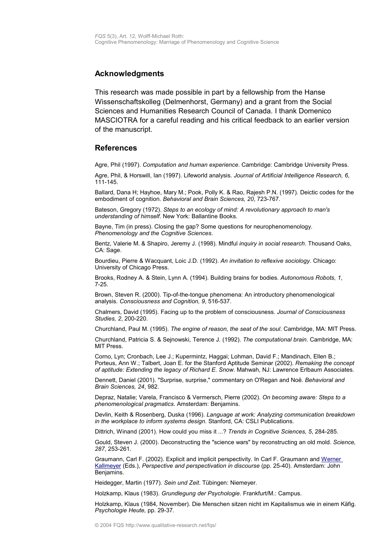### <span id="page-17-1"></span>**Acknowledgments**

This research was made possible in part by a fellowship from the Hanse Wissenschaftskolleg (Delmenhorst, Germany) and a grant from the Social Sciences and Humanities Research Council of Canada. I thank Domenico MASCIOTRA for a careful reading and his critical feedback to an earlier version of the manuscript.

#### <span id="page-17-0"></span>**References**

Agre, Phil (1997). *Computation and human experience*. Cambridge: Cambridge University Press.

Agre, Phil, & Horswill, Ian (1997). Lifeworld analysis. *Journal of Artificial Intelligence Research, 6*, 111-145.

Ballard, Dana H; Hayhoe, Mary M.; Pook, Polly K. & Rao, Rajesh P.N. (1997). Deictic codes for the embodiment of cognition. *Behavioral and Brain Sciences, 20*, 723-767.

Bateson, Gregory (1972). *Steps to an ecology of mind: A revolutionary approach to man's understanding of himself*. New York: Ballantine Books.

Bayne, Tim (in press). Closing the gap? Some questions for neurophenomenology. *Phenomenology and the Cognitive Sciences*.

Bentz, Valerie M. & Shapiro, Jeremy J. (1998). Mindful *inquiry in social research*. Thousand Oaks, CA: Sage.

Bourdieu, Pierre & Wacquant, Loic J.D. (1992). *An invitation to reflexive sociology*. Chicago: University of Chicago Press.

Brooks, Rodney A. & Stein, Lynn A. (1994). Building brains for bodies. *Autonomous Robots, 1*, 7-25.

Brown, Steven R. (2000). Tip-of-the-tongue phenomena: An introductory phenomenological analysis. *Consciousness and Cognition, 9*, 516-537.

Chalmers, David (1995). Facing up to the problem of consciousness. *Journal of Consciousness Studies, 2*, 200-220.

Churchland, Paul M. (1995). *The engine of reason, the seat of the soul*. Cambridge, MA: MIT Press.

Churchland, Patricia S. & Sejnowski, Terence J. (1992). *The computational brain*. Cambridge, MA: MIT Press.

Corno, Lyn; Cronbach, Lee J.; Kupermintz, Haggai; Lohman, David F.; Mandinach, Ellen B.; Porteus, Ann W.; Talbert, Joan E. for the Stanford Aptitude Seminar (2002). *Remaking the concept of aptitude: Extending the legacy of Richard E. Snow*. Mahwah, NJ: Lawrence Erlbaum Associates.

Dennett, Daniel (2001). "Surprise, surprise," commentary on O'Regan and Noë. *Behavioral and Brain Sciences, 24*, 982.

Depraz, Natalie; Varela, Francisco & Vermersch, Pierre (2002). *On becoming aware: Steps to a phenomenological pragmatics*. Amsterdam: Benjamins.

Devlin, Keith & Rosenberg, Duska (1996). *Language at work: Analyzing communication breakdown in the workplace to inform systems design*. Stanford, CA: CSLI Publications.

Dittrich, Winand (2001). How could you miss it ...? *Trends in Cognitive Sciences, 5*, 284-285.

Gould, Steven J. (2000). Deconstructing the "science wars" by reconstructing an old mold. *Science, 287*, 253-261.

Graumann, Carl F. (2002). Explicit and implicit perspectivity. In Carl F. Graumann and [Werner](http://www.qualitative-research.net/fqs/beirat/kallmeyer-e.htm) [Kallmeyer](http://www.qualitative-research.net/fqs/beirat/kallmeyer-e.htm) (Eds.), *Perspective and perspectivation in discourse* (pp. 25-40). Amsterdam: John Benjamins.

Heidegger, Martin (1977). *Sein und Zeit*. Tübingen: Niemeyer.

Holzkamp, Klaus (1983). *Grundlegung der Psychologie*. Frankfurt/M.: Campus.

Holzkamp, Klaus (1984, November). Die Menschen sitzen nicht im Kapitalismus wie in einem Käfig. *Psychologie Heute,* pp. 29-37.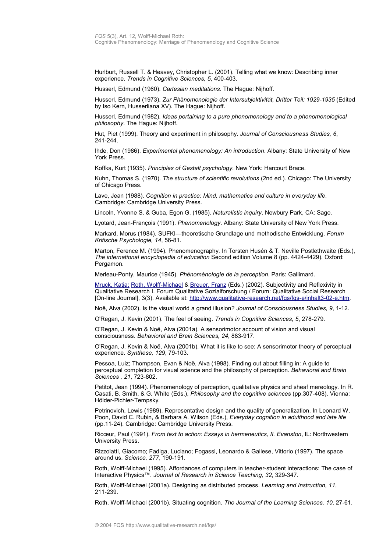Hurlburt, Russell T. & Heavey, Christopher L. (2001). Telling what we know: Describing inner experience. *Trends in Cognitive Sciences, 5*, 400-403.

Husserl, Edmund (1960). *Cartesian meditations*. The Hague: Nijhoff.

Husserl, Edmund (1973). *Zur Phänomenologie der Intersubjektivität, Dritter Teil: 1929-1935* (Edited by Iso Kern, Husserliana XV). The Hague: Nijhoff.

Husserl, Edmund (1982). *Ideas pertaining to a pure phenomenology and to a phenomenological philosophy*. The Hague: Nijhoff.

Hut, Piet (1999). Theory and experiment in philosophy. *Journal of Consciousness Studies, 6*, 241-244.

Ihde, Don (1986). *Experimental phenomenology: An introduction*. Albany: State University of New York Press.

Koffka, Kurt (1935). *Principles of Gestalt psychology*. New York: Harcourt Brace.

Kuhn, Thomas S. (1970). *The structure of scientific revolutions* (2nd ed.). Chicago: The University of Chicago Press.

Lave, Jean (1988). *Cognition in practice: Mind, mathematics and culture in everyday life*. Cambridge: Cambridge University Press.

Lincoln, Yvonne S. & Guba, Egon G. (1985). *Naturalistic inquiry*. Newbury Park, CA: Sage.

Lyotard, Jean-François (1991). *Phenomenology*. Albany: State University of New York Press.

Markard, Morus (1984). SUFKI—theoretische Grundlage und methodische Entwicklung. *Forum Kritische Psychologie, 14*, 56-81.

Marton, Ference M. (1994). Phenomenography. In Torsten Husén & T. Neville Postlethwaite (Eds.), *The international encyclopedia of education* Second edition Volume 8 (pp. 4424-4429). Oxford: Pergamon.

Merleau-Ponty, Maurice (1945). *Phénoménologie de la perception*. Paris: Gallimard.

[Mruck, Katja;](http://www.qualitative-research.net/fqs/impressum/mruck-e.htm) [Roth, Wolff-Michael](http://www.qualitative-research.net/fqs/impressum/roth-e.htm) & [Breuer, Franz](http://www.qualitative-research.net/fqs/impressum/breuer-e.htm) (Eds.) (2002). Subjectivity and Reflexivity in Qualitative Research I. Forum Qualitative Sozialforschung / Forum: Qualitative Social Research [On-line Journal], 3(3). Available at: [http://www.qualitative-research.net/fqs/fqs-e/inhalt3-02-e.htm.](http://www.qualitative-research.net/fqs/fqs-e/inhalt3-02-e.htm)

Noë, Alva (2002). Is the visual world a grand illusion? *Journal of Consciousness Studies, 9*, 1-12.

O'Regan, J. Kevin (2001). The feel of seeing. *Trends in Cognitive Sciences, 5*, 278-279.

O'Regan, J. Kevin & Noë, Alva (2001a). A sensorimotor account of vision and visual consciousness. *Behavioral and Brain Sciences, 24*, 883-917.

O'Regan, J. Kevin & Noë, Alva (2001b). What it is like to see: A sensorimotor theory of perceptual experience. *Synthese, 129*, 79-103.

Pessoa, Luiz; Thompson, Evan & Noë, Alva (1998). Finding out about filling in: A guide to perceptual completion for visual science and the philosophy of perception. *Behavioral and Brain Sciences , 21*, 723-802.

Petitot, Jean (1994). Phenomenology of perception, qualitative physics and sheaf mereology. In R. Casati, B. Smith, & G. White (Eds.), *Philosophy and the cognitive sciences* (pp.307-408). Vienna: Hölder-Pichler-Tempsky.

Petrinovich, Lewis (1989). Representative design and the quality of generalization. In Leonard W. Poon, David C. Rubin, & Barbara A. Wilson (Eds.), *Everyday cognition in adulthood and late life* (pp.11-24). Cambridge: Cambridge University Press.

Ricœur, Paul (1991). *From text to action: Essays in hermeneutics, II. Evanston*, IL: Northwestern University Press.

Rizzolatti, Giacomo; Fadiga, Luciano; Fogassi, Leonardo & Gallese, Vittorio (1997). The space around us. *Science, 277*, 190-191.

Roth, Wolff-Michael (1995). Affordances of computers in teacher-student interactions: The case of Interactive Physics™. *Journal of Research in Science Teaching, 32*, 329-347.

Roth, Wolff-Michael (2001a). Designing as distributed process. *Learning and Instruction, 11*, 211-239.

Roth, Wolff-Michael (2001b). Situating cognition. *The Journal of the Learning Sciences, 10*, 27-61.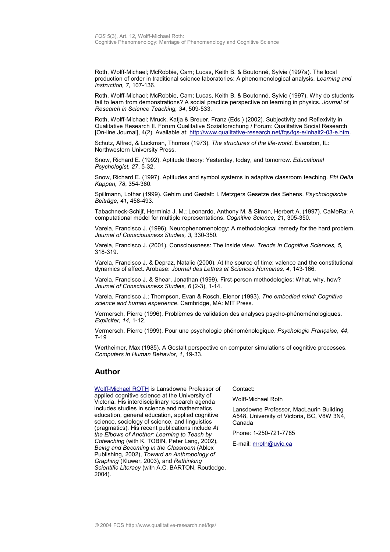Roth, Wolff-Michael; McRobbie, Cam; Lucas, Keith B. & Boutonné, Sylvie (1997a). The local production of order in traditional science laboratories: A phenomenological analysis. *Learning and Instruction, 7*, 107-136.

Roth, Wolff-Michael; McRobbie, Cam; Lucas, Keith B. & Boutonné, Sylvie (1997). Why do students fail to learn from demonstrations? A social practice perspective on learning in physics. *Journal of Research in Science Teaching, 34*, 509-533.

Roth, Wolff-Michael; Mruck, Katja & Breuer, Franz (Eds.) (2002). Subjectivity and Reflexivity in Qualitative Research II. Forum Qualitative Sozialforschung / Forum: Qualitative Social Research [On-line Journal], 4(2). Available at: [http://www.qualitative-research.net/fqs/fqs-e/inhalt2-03-e.htm.](http://www.qualitative-research.net/fqs/fqs-e/inhalt2-03-e.htm)

Schutz, Alfred, & Luckman, Thomas (1973). *The structures of the life-world*. Evanston, IL: Northwestern University Press.

Snow, Richard E. (1992). Aptitude theory: Yesterday, today, and tomorrow. *Educational Psychologist, 27*, 5-32.

Snow, Richard E. (1997). Aptitudes and symbol systems in adaptive classroom teaching. *Phi Delta Kappan, 78*, 354-360.

Spillmann, Lothar (1999). Gehirn und Gestalt: I. Metzgers Gesetze des Sehens. *Psychologische Beiträge, 41*, 458-493.

Tabachneck-Schijf, Herminia J. M.; Leonardo, Anthony M. & Simon, Herbert A. (1997). CaMeRa: A computational model for multiple representations. *Cognitive Science, 21*, 305-350.

Varela, Francisco J. (1996). Neurophenomenology: A methodological remedy for the hard problem. *Journal of Consciousness Studies, 3*, 330-350.

Varela, Francisco J. (2001). Consciousness: The inside view. *Trends in Cognitive Sciences, 5*, 318-319.

Varela, Francisco J. & Depraz, Natalie (2000). At the source of time: valence and the constitutional dynamics of affect. Arobase: *Journal des Lettres et Sciences Humaines, 4*, 143-166.

Varela, Francisco J. & Shear, Jonathan (1999). First-person methodologies: What, why, how? *Journal of Consciousness Studies, 6* (2-3), 1-14.

Varela, Francisco J.; Thompson, Evan & Rosch, Elenor (1993). *The embodied mind: Cognitive science and human experience*. Cambridge, MA: MIT Press.

Vermersch, Pierre (1996). Problèmes de validation des analyses psycho-phénoménologiques. *Expliciter, 14*, 1-12.

Vermersch, Pierre (1999). Pour une psychologie phénoménologique. *Psychologie Française, 44*, 7-19

Wertheimer, Max (1985). A Gestalt perspective on computer simulations of cognitive processes. *Computers in Human Behavior, 1*, 19-33.

#### <span id="page-19-0"></span>**Author**

[Wolff-Michael ROTH](http://www.qualitative-research.net/fqs/impressum/roth-e.htm) is Lansdowne Professor of applied cognitive science at the University of Victoria. His interdisciplinary research agenda includes studies in science and mathematics education, general education, applied cognitive science, sociology of science, and linguistics (pragmatics). His recent publications include *At the Elbows of Another: Learning to Teach by Coteaching* (with K. TOBIN, Peter Lang, 2002), *Being and Becoming in the Classroom* (Ablex Publishing, 2002), *Toward an Anthropology of Graphing* (Kluwer, 2003), and *Rethinking Scientific Literacy* (with A.C. BARTON, Routledge, 2004).

Contact:

Wolff-Michael Roth

Lansdowne Professor, MacLaurin Building A548, University of Victoria, BC, V8W 3N4, Canada

Phone: 1-250-721-7785

E-mail: [mroth@uvic.ca](mailto:mroth@uvic.ca)